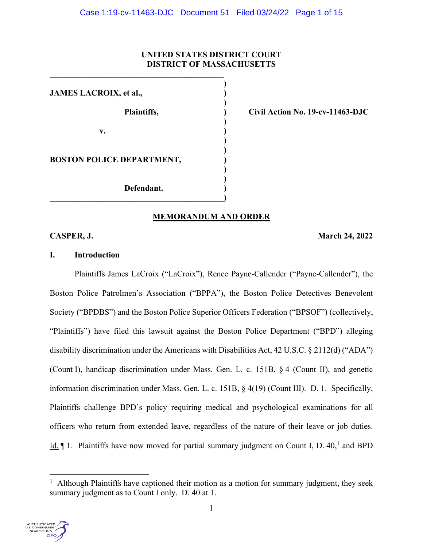# **UNITED STATES DISTRICT COURT DISTRICT OF MASSACHUSETTS**

 **) JAMES LACROIX, et al., ) ) ) v.**  $\qquad \qquad$  **) ) ) BOSTON POLICE DEPARTMENT, ) ) Defendant. ) \_\_\_\_\_\_\_\_\_\_\_\_\_\_\_\_\_\_\_\_\_\_\_\_\_\_\_\_\_\_\_\_\_\_\_\_\_\_\_\_\_\_)** 

 $\mathcal{L} = \{ \mathcal{L} \}$ 

 **Plaintiffs, ) Civil Action No. 19-cv-11463-DJC** 

# **MEMORANDUM AND ORDER**

**CASPER, J. March 24, 2022** 

# **I. Introduction**

 Plaintiffs James LaCroix ("LaCroix"), Renee Payne-Callender ("Payne-Callender"), the Boston Police Patrolmen's Association ("BPPA"), the Boston Police Detectives Benevolent Society ("BPDBS") and the Boston Police Superior Officers Federation ("BPSOF") (collectively, "Plaintiffs") have filed this lawsuit against the Boston Police Department ("BPD") alleging disability discrimination under the Americans with Disabilities Act, 42 U.S.C. § 2112(d) ("ADA") (Count I), handicap discrimination under Mass. Gen. L. c. 151B, § 4 (Count II), and genetic information discrimination under Mass. Gen. L. c. 151B, § 4(19) (Count III). D. 1. Specifically, Plaintiffs challenge BPD's policy requiring medical and psychological examinations for all officers who return from extended leave, regardless of the nature of their leave or job duties. Id.  $\P$  1. Plaintiffs have now moved for partial summary judgment on Count I, D. 40,<sup>1</sup> and BPD

<sup>1</sup> Although Plaintiffs have captioned their motion as a motion for summary judgment, they seek summary judgment as to Count I only. D. 40 at 1.

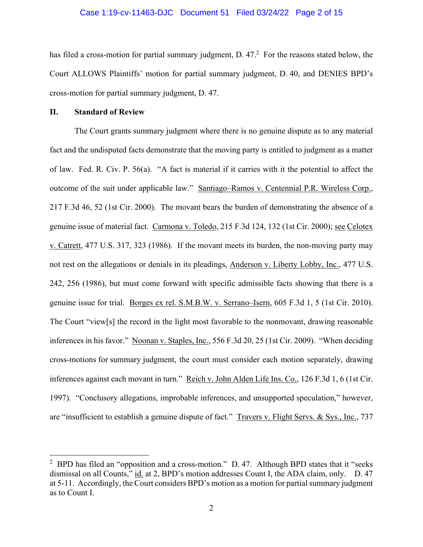#### Case 1:19-cv-11463-DJC Document 51 Filed 03/24/22 Page 2 of 15

has filed a cross-motion for partial summary judgment,  $D. 47<sup>2</sup>$  For the reasons stated below, the Court ALLOWS Plaintiffs' motion for partial summary judgment, D. 40, and DENIES BPD's cross-motion for partial summary judgment, D. 47.

#### **II. Standard of Review**

The Court grants summary judgment where there is no genuine dispute as to any material fact and the undisputed facts demonstrate that the moving party is entitled to judgment as a matter of law. Fed. R. Civ. P. 56(a). "A fact is material if it carries with it the potential to affect the outcome of the suit under applicable law." Santiago–Ramos v. Centennial P.R. Wireless Corp., 217 F.3d 46, 52 (1st Cir. 2000). The movant bears the burden of demonstrating the absence of a genuine issue of material fact. Carmona v. Toledo, 215 F.3d 124, 132 (1st Cir. 2000); see Celotex v. Catrett, 477 U.S. 317, 323 (1986). If the movant meets its burden, the non-moving party may not rest on the allegations or denials in its pleadings, Anderson v. Liberty Lobby, Inc., 477 U.S. 242, 256 (1986), but must come forward with specific admissible facts showing that there is a genuine issue for trial. Borges ex rel. S.M.B.W. v. Serrano–Isern, 605 F.3d 1, 5 (1st Cir. 2010). The Court "view[s] the record in the light most favorable to the nonmovant, drawing reasonable inferences in his favor." Noonan v. Staples, Inc., 556 F.3d 20, 25 (1st Cir. 2009). "When deciding cross-motions for summary judgment, the court must consider each motion separately, drawing inferences against each movant in turn." Reich v. John Alden Life Ins. Co., 126 F.3d 1, 6 (1st Cir. 1997). "Conclusory allegations, improbable inferences, and unsupported speculation," however, are "insufficient to establish a genuine dispute of fact." Travers v. Flight Servs. & Sys., Inc., 737

<sup>&</sup>lt;sup>2</sup> BPD has filed an "opposition and a cross-motion." D. 47. Although BPD states that it "seeks" dismissal on all Counts," id. at 2, BPD's motion addresses Count I, the ADA claim, only. D. 47 at 5-11. Accordingly, the Court considers BPD's motion as a motion for partial summary judgment as to Count I.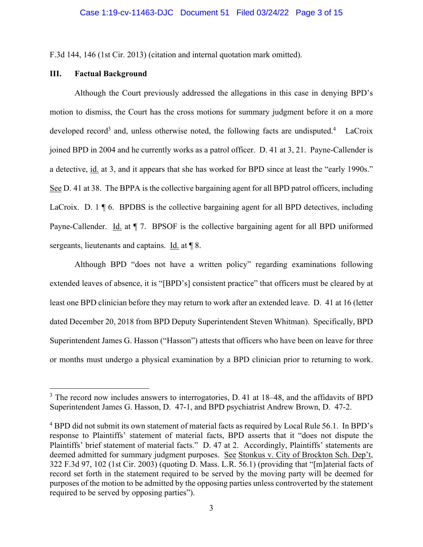F.3d 144, 146 (1st Cir. 2013) (citation and internal quotation mark omitted).

# **III. Factual Background**

Although the Court previously addressed the allegations in this case in denying BPD's motion to dismiss, the Court has the cross motions for summary judgment before it on a more developed record<sup>3</sup> and, unless otherwise noted, the following facts are undisputed.<sup>4</sup> LaCroix joined BPD in 2004 and he currently works as a patrol officer. D. 41 at 3, 21. Payne-Callender is a detective, id. at 3, and it appears that she has worked for BPD since at least the "early 1990s." See D. 41 at 38. The BPPA is the collective bargaining agent for all BPD patrol officers, including LaCroix. D.  $1 \nparallel 6$ . BPDBS is the collective bargaining agent for all BPD detectives, including Payne-Callender. Id. at  $\P$  7. BPSOF is the collective bargaining agent for all BPD uniformed sergeants, lieutenants and captains. Id. at ¶ 8.

Although BPD "does not have a written policy" regarding examinations following extended leaves of absence, it is "[BPD's] consistent practice" that officers must be cleared by at least one BPD clinician before they may return to work after an extended leave. D. 41 at 16 (letter dated December 20, 2018 from BPD Deputy Superintendent Steven Whitman). Specifically, BPD Superintendent James G. Hasson ("Hasson") attests that officers who have been on leave for three or months must undergo a physical examination by a BPD clinician prior to returning to work.

<sup>&</sup>lt;sup>3</sup> The record now includes answers to interrogatories, D. 41 at 18–48, and the affidavits of BPD Superintendent James G. Hasson, D. 47-1, and BPD psychiatrist Andrew Brown, D. 47-2.

<sup>&</sup>lt;sup>4</sup> BPD did not submit its own statement of material facts as required by Local Rule 56.1. In BPD's response to Plaintiffs' statement of material facts, BPD asserts that it "does not dispute the Plaintiffs' brief statement of material facts." D. 47 at 2. Accordingly, Plaintiffs' statements are deemed admitted for summary judgment purposes. See Stonkus v. City of Brockton Sch. Dep't, 322 F.3d 97, 102 (1st Cir. 2003) (quoting D. Mass. L.R. 56.1) (providing that "[m]aterial facts of record set forth in the statement required to be served by the moving party will be deemed for purposes of the motion to be admitted by the opposing parties unless controverted by the statement required to be served by opposing parties").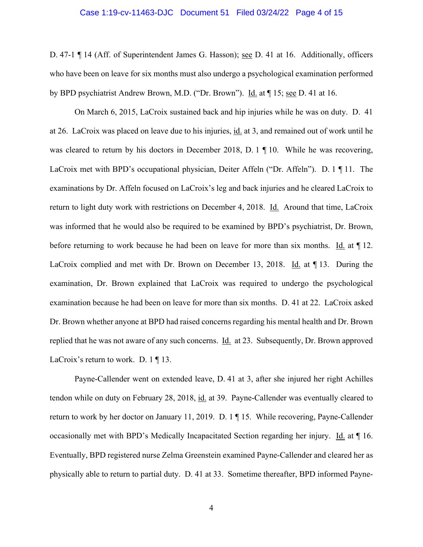#### Case 1:19-cv-11463-DJC Document 51 Filed 03/24/22 Page 4 of 15

D. 47-1 ¶ 14 (Aff. of Superintendent James G. Hasson); <u>see</u> D. 41 at 16. Additionally, officers who have been on leave for six months must also undergo a psychological examination performed by BPD psychiatrist Andrew Brown, M.D. ("Dr. Brown"). Id. at  $\P$  15; see D. 41 at 16.

On March 6, 2015, LaCroix sustained back and hip injuries while he was on duty. D. 41 at 26. LaCroix was placed on leave due to his injuries, id. at 3, and remained out of work until he was cleared to return by his doctors in December 2018, D. 1  $\P$  10. While he was recovering, LaCroix met with BPD's occupational physician, Deiter Affeln ("Dr. Affeln"). D. 1 ¶ 11. The examinations by Dr. Affeln focused on LaCroix's leg and back injuries and he cleared LaCroix to return to light duty work with restrictions on December 4, 2018. Id. Around that time, LaCroix was informed that he would also be required to be examined by BPD's psychiatrist, Dr. Brown, before returning to work because he had been on leave for more than six months. Id. at  $\P$  12. LaCroix complied and met with Dr. Brown on December 13, 2018. Id. at ¶ 13. During the examination, Dr. Brown explained that LaCroix was required to undergo the psychological examination because he had been on leave for more than six months. D. 41 at 22. LaCroix asked Dr. Brown whether anyone at BPD had raised concerns regarding his mental health and Dr. Brown replied that he was not aware of any such concerns. **Id.** at 23. Subsequently, Dr. Brown approved LaCroix's return to work. D. 1  $\P$  13.

Payne-Callender went on extended leave, D. 41 at 3, after she injured her right Achilles tendon while on duty on February 28, 2018, id. at 39. Payne-Callender was eventually cleared to return to work by her doctor on January 11, 2019. D. 1 ¶ 15. While recovering, Payne-Callender occasionally met with BPD's Medically Incapacitated Section regarding her injury. Id. at ¶ 16. Eventually, BPD registered nurse Zelma Greenstein examined Payne-Callender and cleared her as physically able to return to partial duty. D. 41 at 33. Sometime thereafter, BPD informed Payne-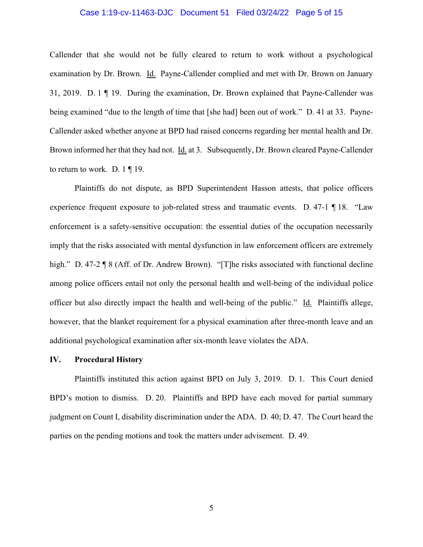#### Case 1:19-cv-11463-DJC Document 51 Filed 03/24/22 Page 5 of 15

Callender that she would not be fully cleared to return to work without a psychological examination by Dr. Brown. Id. Payne-Callender complied and met with Dr. Brown on January 31, 2019. D. 1 ¶ 19. During the examination, Dr. Brown explained that Payne-Callender was being examined "due to the length of time that [she had] been out of work." D. 41 at 33. Payne-Callender asked whether anyone at BPD had raised concerns regarding her mental health and Dr. Brown informed her that they had not. Id. at 3. Subsequently, Dr. Brown cleared Payne-Callender to return to work. D.  $1 \nvert 19$ .

Plaintiffs do not dispute, as BPD Superintendent Hasson attests, that police officers experience frequent exposure to job-related stress and traumatic events. D. 47-1 ¶ 18. "Law enforcement is a safety-sensitive occupation: the essential duties of the occupation necessarily imply that the risks associated with mental dysfunction in law enforcement officers are extremely high." D. 47-2 ¶ 8 (Aff. of Dr. Andrew Brown). "[T]he risks associated with functional decline among police officers entail not only the personal health and well-being of the individual police officer but also directly impact the health and well-being of the public." Id. Plaintiffs allege, however, that the blanket requirement for a physical examination after three-month leave and an additional psychological examination after six-month leave violates the ADA.

#### **IV. Procedural History**

 Plaintiffs instituted this action against BPD on July 3, 2019. D. 1. This Court denied BPD's motion to dismiss. D. 20. Plaintiffs and BPD have each moved for partial summary judgment on Count I, disability discrimination under the ADA. D. 40; D. 47. The Court heard the parties on the pending motions and took the matters under advisement. D. 49.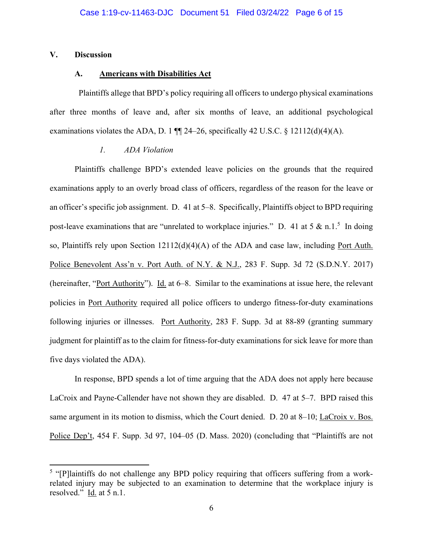### **V. Discussion**

#### **A. Americans with Disabilities Act**

 Plaintiffs allege that BPD's policy requiring all officers to undergo physical examinations after three months of leave and, after six months of leave, an additional psychological examinations violates the ADA, D. 1  $\P$  24–26, specifically 42 U.S.C. § 12112(d)(4)(A).

### *1. ADA Violation*

Plaintiffs challenge BPD's extended leave policies on the grounds that the required examinations apply to an overly broad class of officers, regardless of the reason for the leave or an officer's specific job assignment. D. 41 at 5–8. Specifically, Plaintiffs object to BPD requiring post-leave examinations that are "unrelated to workplace injuries." D. 41 at 5 & n.1.<sup>5</sup> In doing so, Plaintiffs rely upon Section 12112(d)(4)(A) of the ADA and case law, including Port Auth. Police Benevolent Ass'n v. Port Auth. of N.Y. & N.J., 283 F. Supp. 3d 72 (S.D.N.Y. 2017) (hereinafter, "Port Authority"). Id. at 6–8. Similar to the examinations at issue here, the relevant policies in Port Authority required all police officers to undergo fitness-for-duty examinations following injuries or illnesses. Port Authority, 283 F. Supp. 3d at 88-89 (granting summary judgment for plaintiff as to the claim for fitness-for-duty examinations for sick leave for more than five days violated the ADA).

In response, BPD spends a lot of time arguing that the ADA does not apply here because LaCroix and Payne-Callender have not shown they are disabled. D. 47 at 5–7. BPD raised this same argument in its motion to dismiss, which the Court denied. D. 20 at 8–10; LaCroix v. Bos. Police Dep't, 454 F. Supp. 3d 97, 104–05 (D. Mass. 2020) (concluding that "Plaintiffs are not

<sup>&</sup>lt;sup>5</sup> "[P]laintiffs do not challenge any BPD policy requiring that officers suffering from a workrelated injury may be subjected to an examination to determine that the workplace injury is resolved."  $\underline{Id}$  at 5 n.1.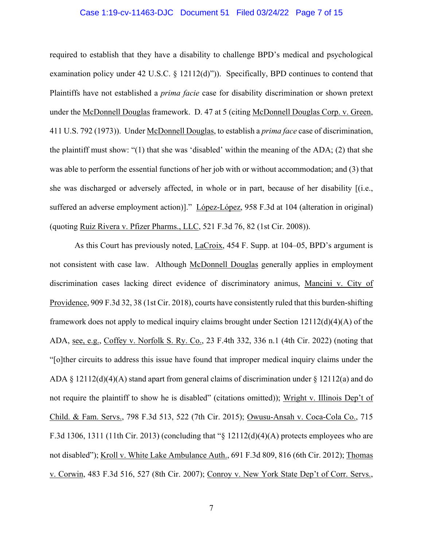#### Case 1:19-cv-11463-DJC Document 51 Filed 03/24/22 Page 7 of 15

required to establish that they have a disability to challenge BPD's medical and psychological examination policy under 42 U.S.C. § 12112(d)")). Specifically, BPD continues to contend that Plaintiffs have not established a *prima facie* case for disability discrimination or shown pretext under the McDonnell Douglas framework. D. 47 at 5 (citing McDonnell Douglas Corp. v. Green, 411 U.S. 792 (1973)). Under McDonnell Douglas, to establish a *prima face* case of discrimination, the plaintiff must show: "(1) that she was 'disabled' within the meaning of the ADA; (2) that she was able to perform the essential functions of her job with or without accommodation; and (3) that she was discharged or adversely affected, in whole or in part, because of her disability [(i.e., suffered an adverse employment action)]." López-López, 958 F.3d at 104 (alteration in original) (quoting Ruiz Rivera v. Pfizer Pharms., LLC, 521 F.3d 76, 82 (1st Cir. 2008)).

As this Court has previously noted, LaCroix, 454 F. Supp. at 104–05, BPD's argument is not consistent with case law. Although McDonnell Douglas generally applies in employment discrimination cases lacking direct evidence of discriminatory animus, Mancini v. City of Providence, 909 F.3d 32, 38 (1st Cir. 2018), courts have consistently ruled that this burden-shifting framework does not apply to medical inquiry claims brought under Section 12112(d)(4)(A) of the ADA, see, e.g., Coffey v. Norfolk S. Ry. Co., 23 F.4th 332, 336 n.1 (4th Cir. 2022) (noting that "[o]ther circuits to address this issue have found that improper medical inquiry claims under the ADA § 12112(d)(4)(A) stand apart from general claims of discrimination under § 12112(a) and do not require the plaintiff to show he is disabled" (citations omitted)); Wright v. Illinois Dep't of Child. & Fam. Servs., 798 F.3d 513, 522 (7th Cir. 2015); Owusu-Ansah v. Coca-Cola Co., 715 F.3d 1306, 1311 (11th Cir. 2013) (concluding that " $\S$  12112(d)(4)(A) protects employees who are not disabled"); Kroll v. White Lake Ambulance Auth., 691 F.3d 809, 816 (6th Cir. 2012); Thomas v. Corwin, 483 F.3d 516, 527 (8th Cir. 2007); Conroy v. New York State Dep't of Corr. Servs.,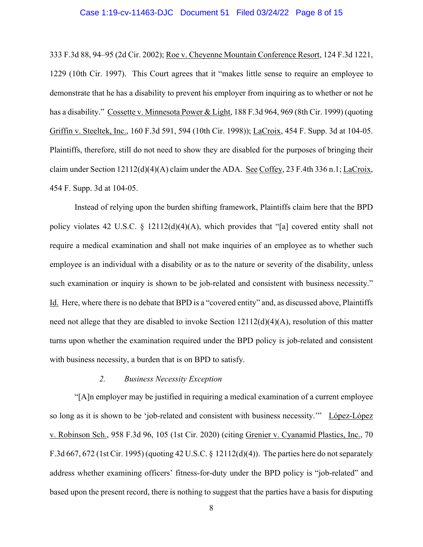#### Case 1:19-cv-11463-DJC Document 51 Filed 03/24/22 Page 8 of 15

333 F.3d 88, 94–95 (2d Cir. 2002); Roe v. Cheyenne Mountain Conference Resort, 124 F.3d 1221, 1229 (10th Cir. 1997). This Court agrees that it "makes little sense to require an employee to demonstrate that he has a disability to prevent his employer from inquiring as to whether or not he has a disability." Cossette v. Minnesota Power & Light, 188 F.3d 964, 969 (8th Cir. 1999) (quoting Griffin v. Steeltek, Inc., 160 F.3d 591, 594 (10th Cir. 1998)); LaCroix, 454 F. Supp. 3d at 104-05. Plaintiffs, therefore, still do not need to show they are disabled for the purposes of bringing their claim under Section  $12112(d)(4)(A)$  claim under the ADA. See Coffey, 23 F.4th 336 n.1; LaCroix, 454 F. Supp. 3d at 104-05.

Instead of relying upon the burden shifting framework, Plaintiffs claim here that the BPD policy violates 42 U.S.C. § 12112(d)(4)(A), which provides that "[a] covered entity shall not require a medical examination and shall not make inquiries of an employee as to whether such employee is an individual with a disability or as to the nature or severity of the disability, unless such examination or inquiry is shown to be job-related and consistent with business necessity." Id. Here, where there is no debate that BPD is a "covered entity" and, as discussed above, Plaintiffs need not allege that they are disabled to invoke Section 12112(d)(4)(A), resolution of this matter turns upon whether the examination required under the BPD policy is job-related and consistent with business necessity, a burden that is on BPD to satisfy.

### *2. Business Necessity Exception*

"[A]n employer may be justified in requiring a medical examination of a current employee so long as it is shown to be 'job-related and consistent with business necessity.'" López-López v. Robinson Sch., 958 F.3d 96, 105 (1st Cir. 2020) (citing Grenier v. Cyanamid Plastics, Inc., 70 F.3d 667, 672 (1st Cir. 1995) (quoting 42 U.S.C. § 12112(d)(4)). The parties here do not separately address whether examining officers' fitness-for-duty under the BPD policy is "job-related" and based upon the present record, there is nothing to suggest that the parties have a basis for disputing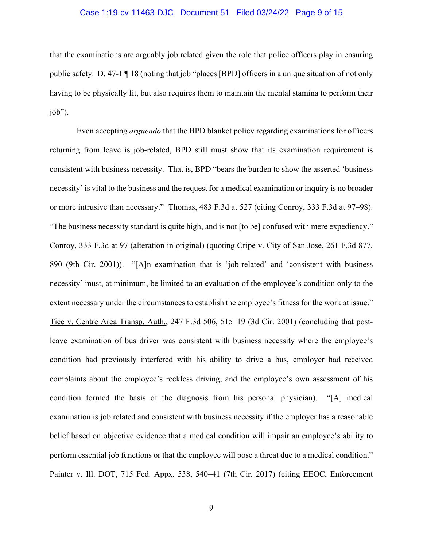#### Case 1:19-cv-11463-DJC Document 51 Filed 03/24/22 Page 9 of 15

that the examinations are arguably job related given the role that police officers play in ensuring public safety. D. 47-1 ¶ 18 (noting that job "places [BPD] officers in a unique situation of not only having to be physically fit, but also requires them to maintain the mental stamina to perform their job").

 Even accepting *arguendo* that the BPD blanket policy regarding examinations for officers returning from leave is job-related, BPD still must show that its examination requirement is consistent with business necessity. That is, BPD "bears the burden to show the asserted 'business necessity' is vital to the business and the request for a medical examination or inquiry is no broader or more intrusive than necessary." Thomas, 483 F.3d at 527 (citing Conroy, 333 F.3d at 97–98). "The business necessity standard is quite high, and is not [to be] confused with mere expediency." Conroy, 333 F.3d at 97 (alteration in original) (quoting Cripe v. City of San Jose, 261 F.3d 877, 890 (9th Cir. 2001)). "[A]n examination that is 'job-related' and 'consistent with business necessity' must, at minimum, be limited to an evaluation of the employee's condition only to the extent necessary under the circumstances to establish the employee's fitness for the work at issue." Tice v. Centre Area Transp. Auth., 247 F.3d 506, 515–19 (3d Cir. 2001) (concluding that postleave examination of bus driver was consistent with business necessity where the employee's condition had previously interfered with his ability to drive a bus, employer had received complaints about the employee's reckless driving, and the employee's own assessment of his condition formed the basis of the diagnosis from his personal physician). "[A] medical examination is job related and consistent with business necessity if the employer has a reasonable belief based on objective evidence that a medical condition will impair an employee's ability to perform essential job functions or that the employee will pose a threat due to a medical condition." Painter v. Ill. DOT, 715 Fed. Appx. 538, 540–41 (7th Cir. 2017) (citing EEOC, Enforcement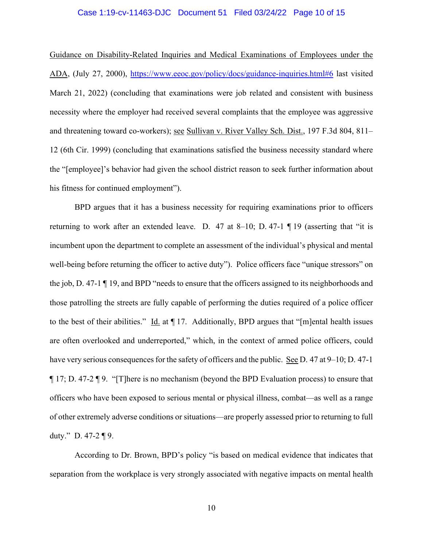#### Case 1:19-cv-11463-DJC Document 51 Filed 03/24/22 Page 10 of 15

Guidance on Disability-Related Inquiries and Medical Examinations of Employees under the ADA, (July 27, 2000), https://www.eeoc.gov/policy/docs/guidance-inquiries.html#6 last visited March 21, 2022) (concluding that examinations were job related and consistent with business necessity where the employer had received several complaints that the employee was aggressive and threatening toward co-workers); see Sullivan v. River Valley Sch. Dist., 197 F.3d 804, 811– 12 (6th Cir. 1999) (concluding that examinations satisfied the business necessity standard where the "[employee]'s behavior had given the school district reason to seek further information about his fitness for continued employment").

 BPD argues that it has a business necessity for requiring examinations prior to officers returning to work after an extended leave. D. 47 at 8–10; D. 47-1  $\P$  19 (asserting that "it is incumbent upon the department to complete an assessment of the individual's physical and mental well-being before returning the officer to active duty"). Police officers face "unique stressors" on the job, D. 47-1 ¶ 19, and BPD "needs to ensure that the officers assigned to its neighborhoods and those patrolling the streets are fully capable of performing the duties required of a police officer to the best of their abilities." Id. at  $\P$  17. Additionally, BPD argues that "[m]ental health issues are often overlooked and underreported," which, in the context of armed police officers, could have very serious consequences for the safety of officers and the public. See D. 47 at 9–10; D. 47-1 ¶ 17; D. 47-2 ¶ 9. "[T]here is no mechanism (beyond the BPD Evaluation process) to ensure that officers who have been exposed to serious mental or physical illness, combat—as well as a range of other extremely adverse conditions or situations—are properly assessed prior to returning to full duty." D. 47-2  $\P$  9.

According to Dr. Brown, BPD's policy "is based on medical evidence that indicates that separation from the workplace is very strongly associated with negative impacts on mental health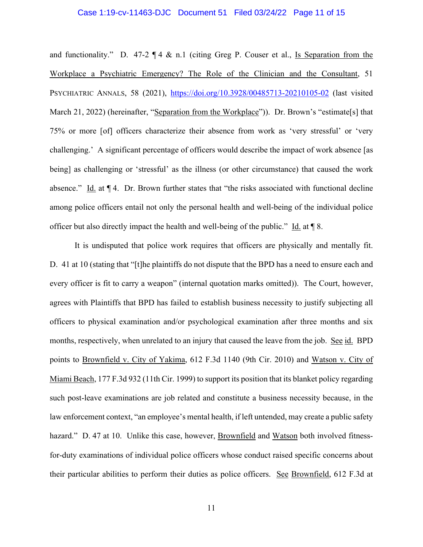#### Case 1:19-cv-11463-DJC Document 51 Filed 03/24/22 Page 11 of 15

and functionality." D. 47-2  $\P$  4 & n.1 (citing Greg P. Couser et al., Is Separation from the Workplace a Psychiatric Emergency? The Role of the Clinician and the Consultant, 51 PSYCHIATRIC ANNALS, 58 (2021), https://doi.org/10.3928/00485713-20210105-02 (last visited March 21, 2022) (hereinafter, "Separation from the Workplace")). Dr. Brown's "estimate[s] that 75% or more [of] officers characterize their absence from work as 'very stressful' or 'very challenging.' A significant percentage of officers would describe the impact of work absence [as being] as challenging or 'stressful' as the illness (or other circumstance) that caused the work absence." Id. at  $\P$  4. Dr. Brown further states that "the risks associated with functional decline among police officers entail not only the personal health and well-being of the individual police officer but also directly impact the health and well-being of the public." Id. at ¶ 8.

It is undisputed that police work requires that officers are physically and mentally fit. D. 41 at 10 (stating that "[t]he plaintiffs do not dispute that the BPD has a need to ensure each and every officer is fit to carry a weapon" (internal quotation marks omitted)). The Court, however, agrees with Plaintiffs that BPD has failed to establish business necessity to justify subjecting all officers to physical examination and/or psychological examination after three months and six months, respectively, when unrelated to an injury that caused the leave from the job. See id. BPD points to Brownfield v. City of Yakima, 612 F.3d 1140 (9th Cir. 2010) and Watson v. City of Miami Beach, 177 F.3d 932 (11th Cir. 1999) to support its position that its blanket policy regarding such post-leave examinations are job related and constitute a business necessity because, in the law enforcement context, "an employee's mental health, if left untended, may create a public safety hazard." D. 47 at 10. Unlike this case, however, Brownfield and Watson both involved fitnessfor-duty examinations of individual police officers whose conduct raised specific concerns about their particular abilities to perform their duties as police officers. See Brownfield, 612 F.3d at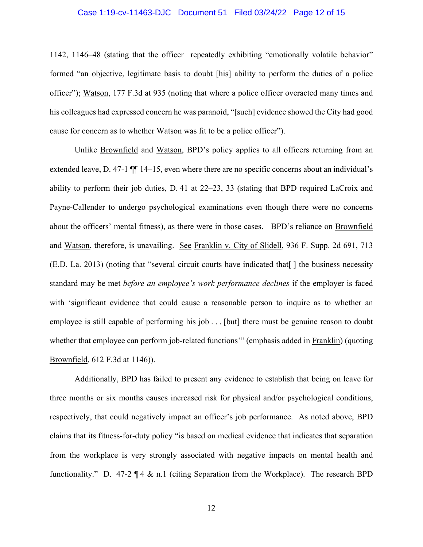#### Case 1:19-cv-11463-DJC Document 51 Filed 03/24/22 Page 12 of 15

1142, 1146–48 (stating that the officer repeatedly exhibiting "emotionally volatile behavior" formed "an objective, legitimate basis to doubt [his] ability to perform the duties of a police officer"); Watson, 177 F.3d at 935 (noting that where a police officer overacted many times and his colleagues had expressed concern he was paranoid, "[such] evidence showed the City had good cause for concern as to whether Watson was fit to be a police officer").

Unlike Brownfield and Watson, BPD's policy applies to all officers returning from an extended leave, D. 47-1 ¶¶ 14–15, even where there are no specific concerns about an individual's ability to perform their job duties, D. 41 at 22–23, 33 (stating that BPD required LaCroix and Payne-Callender to undergo psychological examinations even though there were no concerns about the officers' mental fitness), as there were in those cases. BPD's reliance on Brownfield and Watson, therefore, is unavailing. See Franklin v. City of Slidell, 936 F. Supp. 2d 691, 713 (E.D. La. 2013) (noting that "several circuit courts have indicated that[ ] the business necessity standard may be met *before an employee's work performance declines* if the employer is faced with 'significant evidence that could cause a reasonable person to inquire as to whether an employee is still capable of performing his job . . . [but] there must be genuine reason to doubt whether that employee can perform job-related functions'" (emphasis added in Franklin) (quoting Brownfield, 612 F.3d at 1146)).

Additionally, BPD has failed to present any evidence to establish that being on leave for three months or six months causes increased risk for physical and/or psychological conditions, respectively, that could negatively impact an officer's job performance. As noted above, BPD claims that its fitness-for-duty policy "is based on medical evidence that indicates that separation from the workplace is very strongly associated with negative impacts on mental health and functionality." D. 47-2 ¶ 4 & n.1 (citing Separation from the Workplace). The research BPD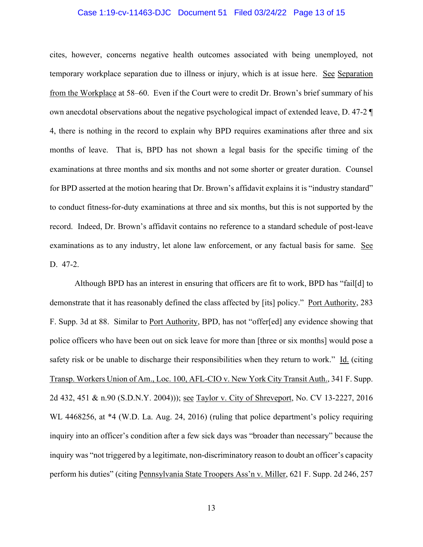#### Case 1:19-cv-11463-DJC Document 51 Filed 03/24/22 Page 13 of 15

cites, however, concerns negative health outcomes associated with being unemployed, not temporary workplace separation due to illness or injury, which is at issue here. See Separation from the Workplace at 58–60. Even if the Court were to credit Dr. Brown's brief summary of his own anecdotal observations about the negative psychological impact of extended leave, D. 47-2 ¶ 4, there is nothing in the record to explain why BPD requires examinations after three and six months of leave. That is, BPD has not shown a legal basis for the specific timing of the examinations at three months and six months and not some shorter or greater duration. Counsel for BPD asserted at the motion hearing that Dr. Brown's affidavit explains it is "industry standard" to conduct fitness-for-duty examinations at three and six months, but this is not supported by the record. Indeed, Dr. Brown's affidavit contains no reference to a standard schedule of post-leave examinations as to any industry, let alone law enforcement, or any factual basis for same. See D. 47-2.

Although BPD has an interest in ensuring that officers are fit to work, BPD has "fail[d] to demonstrate that it has reasonably defined the class affected by [its] policy." Port Authority, 283 F. Supp. 3d at 88. Similar to Port Authority, BPD, has not "offer[ed] any evidence showing that police officers who have been out on sick leave for more than [three or six months] would pose a safety risk or be unable to discharge their responsibilities when they return to work." Id. (citing Transp. Workers Union of Am., Loc. 100, AFL-CIO v. New York City Transit Auth., 341 F. Supp. 2d 432, 451 & n.90 (S.D.N.Y. 2004))); see Taylor v. City of Shreveport, No. CV 13-2227, 2016 WL 4468256, at \*4 (W.D. La. Aug. 24, 2016) (ruling that police department's policy requiring inquiry into an officer's condition after a few sick days was "broader than necessary" because the inquiry was "not triggered by a legitimate, non-discriminatory reason to doubt an officer's capacity perform his duties" (citing Pennsylvania State Troopers Ass'n v. Miller, 621 F. Supp. 2d 246, 257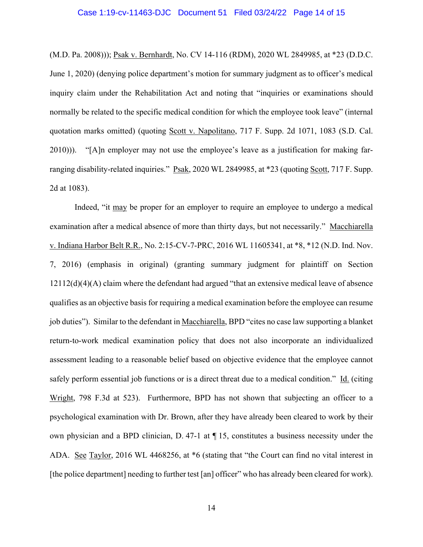#### Case 1:19-cv-11463-DJC Document 51 Filed 03/24/22 Page 14 of 15

(M.D. Pa. 2008))); Psak v. Bernhardt, No. CV 14-116 (RDM), 2020 WL 2849985, at \*23 (D.D.C. June 1, 2020) (denying police department's motion for summary judgment as to officer's medical inquiry claim under the Rehabilitation Act and noting that "inquiries or examinations should normally be related to the specific medical condition for which the employee took leave" (internal quotation marks omitted) (quoting Scott v. Napolitano, 717 F. Supp. 2d 1071, 1083 (S.D. Cal. 2010))). "[A]n employer may not use the employee's leave as a justification for making farranging disability-related inquiries." Psak, 2020 WL 2849985, at \*23 (quoting Scott, 717 F. Supp. 2d at 1083).

Indeed, "it may be proper for an employer to require an employee to undergo a medical examination after a medical absence of more than thirty days, but not necessarily." Macchiarella v. Indiana Harbor Belt R.R., No. 2:15-CV-7-PRC, 2016 WL 11605341, at \*8, \*12 (N.D. Ind. Nov. 7, 2016) (emphasis in original) (granting summary judgment for plaintiff on Section 12112(d)(4)(A) claim where the defendant had argued "that an extensive medical leave of absence qualifies as an objective basis for requiring a medical examination before the employee can resume job duties"). Similar to the defendant in Macchiarella, BPD "cites no case law supporting a blanket return-to-work medical examination policy that does not also incorporate an individualized assessment leading to a reasonable belief based on objective evidence that the employee cannot safely perform essential job functions or is a direct threat due to a medical condition." Id. (citing Wright, 798 F.3d at 523). Furthermore, BPD has not shown that subjecting an officer to a psychological examination with Dr. Brown, after they have already been cleared to work by their own physician and a BPD clinician, D. 47-1 at ¶ 15, constitutes a business necessity under the ADA. See Taylor, 2016 WL 4468256, at \*6 (stating that "the Court can find no vital interest in [the police department] needing to further test [an] officer" who has already been cleared for work).